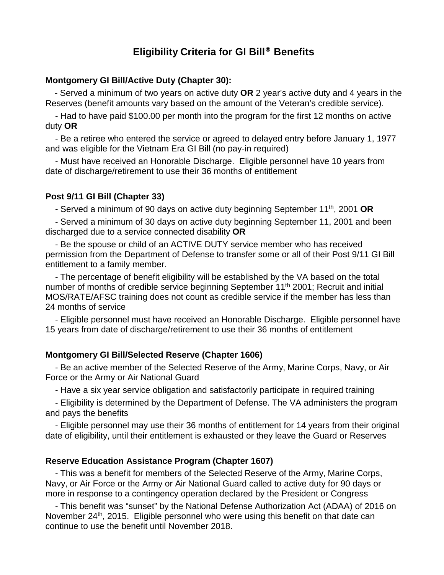# **Eligibility Criteria for GI Bill**® **Benefits**

## **Montgomery GI Bill/Active Duty (Chapter 30):**

 - Served a minimum of two years on active duty **OR** 2 year's active duty and 4 years in the Reserves (benefit amounts vary based on the amount of the Veteran's credible service).

 - Had to have paid \$100.00 per month into the program for the first 12 months on active duty **OR**

 - Be a retiree who entered the service or agreed to delayed entry before January 1, 1977 and was eligible for the Vietnam Era GI Bill (no pay-in required)

 - Must have received an Honorable Discharge. Eligible personnel have 10 years from date of discharge/retirement to use their 36 months of entitlement

### **Post 9/11 GI Bill (Chapter 33)**

- Served a minimum of 90 days on active duty beginning September 11th, 2001 **OR**

 - Served a minimum of 30 days on active duty beginning September 11, 2001 and been discharged due to a service connected disability **OR**

 - Be the spouse or child of an ACTIVE DUTY service member who has received permission from the Department of Defense to transfer some or all of their Post 9/11 GI Bill entitlement to a family member.

 - The percentage of benefit eligibility will be established by the VA based on the total number of months of credible service beginning September 11<sup>th</sup> 2001; Recruit and initial MOS/RATE/AFSC training does not count as credible service if the member has less than 24 months of service

 - Eligible personnel must have received an Honorable Discharge. Eligible personnel have 15 years from date of discharge/retirement to use their 36 months of entitlement

### **Montgomery GI Bill/Selected Reserve (Chapter 1606)**

 - Be an active member of the Selected Reserve of the Army, Marine Corps, Navy, or Air Force or the Army or Air National Guard

- Have a six year service obligation and satisfactorily participate in required training

 - Eligibility is determined by the Department of Defense. The VA administers the program and pays the benefits

 - Eligible personnel may use their 36 months of entitlement for 14 years from their original date of eligibility, until their entitlement is exhausted or they leave the Guard or Reserves

## **Reserve Education Assistance Program (Chapter 1607)**

 - This was a benefit for members of the Selected Reserve of the Army, Marine Corps, Navy, or Air Force or the Army or Air National Guard called to active duty for 90 days or more in response to a contingency operation declared by the President or Congress

 - This benefit was "sunset" by the National Defense Authorization Act (ADAA) of 2016 on November 24<sup>th</sup>, 2015. Eligible personnel who were using this benefit on that date can continue to use the benefit until November 2018.